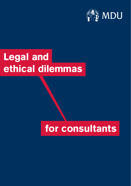

## **Legal and ethical dilemmas**

## **for consultants**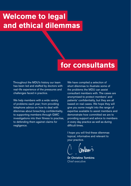## **Welcome to legal and ethical dilemmas**

### **for consultants**

Throughout the MDU's history our team has been led and staffed by doctors with real-life experience of the pressures and challenges faced in practice.

We help members with a wide variety of problems each year; from providing telephone advice on how to deal with dilemmas about breaching confidentiality, to supporting members through GMC investigations into their fitness to practise, to defending them against claims for negligence.

We have compiled a selection of short dilemmas to illustrate some of the problems the MDU can assist consultant members with. The cases are anonymised to protect members' and patients' confidentiality, but they are all based on real cases. We hope they will give you some insight into the range of expertise available to assist members and demonstrate how committed we are to providing support and advice to members in every day practice as well as during difficult times.

I hope you will find these dilemmas topical, informative and relevant to your practice.

Dr Christine Tomkins Chief executive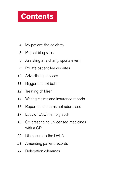## **Contents**

- My patient, the celebrity *4*
- Patient blog sites *5*
- Assisting at a charity sports event *6*
- Private patient fee disputes *8*
- Advertising services *10*
- Bigger but not better *11*
- Treating children *12*
- Writing claims and insurance reports *14*
- Reported concerns not addressed *16*
- Loss of USB memory stick *17*
- Co-prescribing unlicensed medicines with a GP *18*
- Disclosure to the DVLA *20*
- Amending patient records *21*
- Delegation dilemmas *22*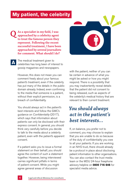#### **My patient, the celebrity**

**As a specialist in my field, I was approached by a celebrity agent to treat the famous person they represent. Following the recent successful treatment, I have been approached by several journalists for comment. What should I do? Q**

The medical treatment given to celebrities has long been of interest to gossip magazines and newspapers.

**A**

However, this does not mean you can comment freely about your famous patient's treatment, even if the celebrity has put many of the details in the public domain already. Indeed, even confirming to the media that someone is a patient, without their explicit permission, is a breach of confidentiality.

You should always act in the patient's best interests and follow the GMC's guidance on *Confidentiality* (2017), which says that information about patients can only be disclosed with their express consent. In general, you should think very carefully before you decide to talk to the media about a celebrity patient, even with the patient's apparent consent.

If a patient asks you to issue a formal statement on their behalf, you should agree the content of such a statement together. However, being interviewed carries significant pitfalls in terms of patient consent. While you might agree general areas of discussion



with the patient, neither of you can be certain in advance of what you might be asked or how you might respond. There is a possibility that you may inadvertently reveal details that the patient did not consent to being released, such as aspects of the celebrity's medical history that are relevant to their current treatment.

#### *You should always act in the patient's best interests...*

If, on balance, you prefer not to comment, you may choose to explain that you are unable to do so because of the duty of confidentiality you owe to all your patients. If you are working in an NHS trust, there should already be a protocol in place about disclosing patient information to other organisations. You can also contact the trust media team or the MDU 24-hour freephone advisory helpline on **0800 716 646** for specialist media advice.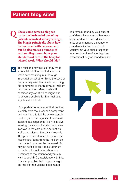#### **Patient blog sites**

**I have come across a blog set up by the husband of one of my patients who died some years ago. The blog is principally about how he has coped with bereavement but he also makes a number of serious allegations about poor standards of care in the hospital where I work. What should I do? Q**

The husband may have already made a complaint to the hospital about his wife's care resulting in a thorough investigation. Whether this is the case or not, you may wish to consider reporting his comments to the trust via its incident reporting system. Many trusts will consider any event which might lead to adverse publicity for the trust as a significant incident. **A**

> It's important to remember that the blog is solely from the husband's perspective and is unlikely to tell the whole story. In contrast, a formal significant untoward incident investigation is likely to involve seeking the views of all staff who were involved in the care of the patient, as well as a review of the clinical records. This process is intended to ensure that lessons are learnt from the incident so that patient care may be improved. You may be asked to provide a statement to the trust investigation about your treatment of the patient and you may wish to seek MDU assistance with this. It is also possible that the press might pick up on the husband's comments.

You remain bound by your duty of confidentiality to your patient even after her death. The GMC advises in its supplementary guidance to confidentiality that 'you should usually limit your public response to an explanation of your legal and professional duty of confidentiality'.

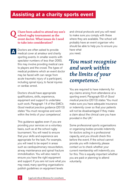#### **Assisting at a charity sports event**

#### **I have been asked to attend my son's school rugby tournament as the event doctor. What issues do I need to take into consideration? Q**

Doctors are often asked to provide medical cover at amateur and charity sporting events. In smaller events with spectator numbers of less than 2000, this may involve providing medical care to players and the crowd. The types of medical problems which an event doctor may be faced with can range from acute traumatic injury of a participant, including spinal injury, to facial injuries or cardiac arrest. **A**

> Doctors should have appropriate qualifications, skills, experience, equipment and support to undertake such work. Paragraph 14 of the GMC's *Good medical practice* guidance (2013) states 'You must recognise and work within the limits of your competence'.

This guidance applies even if you are providing your services on a voluntary basis, such as at the school rugby tournament. You will need to ensure that your skills and experience are appropriate for the task. For example, you will need to be expert in areas such as cardiopulmonary resuscitation, airway maintenance and spinal fracture immobilisation. You will also need to ensure you have the right equipment and support. If you are not sure what you may need, many sporting organisations publish guidelines on equipment levels

and clinical protocols and you will need to make sure you comply with these where they are available. The school will probably have an event organiser who should be able to help you to ensure you have what you need.

### *'You must recognise and work within the limits of your competence.'*

You are required to have indemnity for any claims arising from attendance at a sporting event. Paragraph 63 of *Good medical practice* (2013) states 'You must make sure you have adequate insurance or indemnity cover so that your patients will not be disadvantaged if they make a claim about the clinical care you have provided in the UK.'

Some professional sports organisations or organising bodies provide indemnity for doctors acting in a professional capacity, and you should check this before the event. If the school cannot provide you with indemnity, please contact us to check whether your current membership will indemnify you for this. This is equally important whether you are paid or planning to attend voluntarily.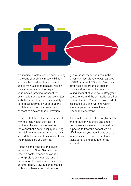

If a medical problem should occur during the event, your ethical responsibilities, such as the need to obtain consent and to maintain confidentiality, remain the same as in any other aspect of your medical practice. Consent for examination or treatment can be written, verbal or implied and you have a duty to keep all information about patients confidential unless you have their consent to disclose that information.

It may be helpful to familiarise yourself with the local health services, in particular the ambulance service, in the event that a serious injury requiring hospital transfer occurs. You should also keep detailed notes of any incidents and the medical care you provide.

Acting as an event doctor is quite separate from Good Samaritan acts, where a doctor attends an event in a non-professional capacity and is called upon to provide medical care in an emergency. GMC guidance makes it clear you have an ethical duty to

give what assistance you can in the circumstances. *Good medical practice* (2013) paragraph 26 states 'You must offer help if emergencies arise in clinical settings or in the community, taking account of your own safety, your competence, and the availability of other options for care. You must provide what assistance you can, working within your competence unless there is no reasonable alternative'.

If you just turned up at the rugby match and no doctor was there and one of the players was injured, you would be expected to treat the patient. As an MDU member you would have access to indemnity for Good Samaritan acts. Make sure you keep a note of the incident.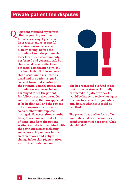#### **Private patient fee disputes**

**A patient attended my private clinic requesting treatment Qfor acne scarring. I performed laser treatment after careful examination and a detailed history-taking. Before the procedure I told the patient that laser treatment was commonly performed and generally safe but there could be side effects and potential complications which I outlined in detail. I documented this discussion in my notes as usual and the patient signed a consent form that mentioned the potential complications. The procedure was uneventful and I arranged to see the patient for follow up ten days later. On routine review, the skin appeared to be healing well and the patient did not express any concerns so no further follow up was arranged. However, three months later, I have now received a letter of complaint from the patient stating that she is dissatisfied with the aesthetic results including some persisting redness in the treatment area and a slight change in her skin pigmentation next to the treated region.**



**She has requested a refund of the cost of the treatment. I initially contacted the patient to say I would be happy to review her again in clinic to assess the pigmentation and discuss whether it could be rectified.**

**The patient has declined my offer and reiterated her demand for a reimbursement of her costs. What should I do?**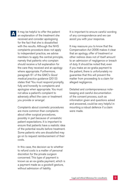It may be helpful to offer the patient an explanation of the treatment she received and consider apologising for the fact that she is dissatisfied with the results. Although the NHS complaints procedure does not apply to independent practice, we advise members to apply the central principle, namely that patients who complain should receive a full explanation for the care they received and an apology where appropriate. Furthermore, paragraph 61 of the GMC's *Good medical practice* guidance (2013) states that 'You must respond promptly, fully and honestly to complaints and apologise when appropriate. You must not allow a patient's complaint to adversely affect the care or treatment you provide or arrange'.

Complaints about cosmetic procedures are more common than complaints about other surgical procedures, possibly in part because of unrealistic patient expectations. It is important to ensure that patients have a realistic idea of the potential results before treatment. Some patients who are dissatisfied may go on to request reimbursement of their costs.

In this case, the decision as to whether to refund costs is a matter of personal discretion for the private surgeon concerned. This type of payment is known as an ex-gratia payment, which is a payment made as a goodwill gesture, without admission of liability.

It is important to ensure careful wording of any correspondence and we can assist you with your response.

It may reassure you to know that the Compensation Act 2006 makes it clear that an apology, offer of treatment or other redress does not of itself amount to an admission of negligence or breach of duty. It should be noted that, even if you make an ex-gratia payment to the patient, there is unfortunately no guarantee that this will prevent the matter from proceeding to a claim for alleged negligence.

Detailed and contemporaneous notekeeping and careful documentation of the consent process, such as information given and questions asked and answered, could be very helpful in mounting a robust defence if a claim were made.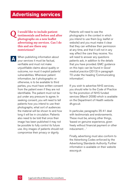**I would like to include patient testimonials and before and after photographs on a new leaflet advertising my services. Can I do this and are there any restrictions? Q**

When publishing information about your services it must be factual, verifiable and must not make unjustifiable claims about quality or outcome, nor must it exploit patients' vulnerabilities. Whenever patient information, be it photographic or otherwise, is to be available to third parties, you must have written consent from the patient even if they are not identifiable. The patient must not be put under any pressure to agree. In seeking consent, you will need to tell patients how you intend to use their photographs, what sort of audiences the material will be shown to and how long it will be in circulation. Patients also need to be told that once their image has been published it may not be possible to fully control its future use. Any images of patients should not compromise their privacy or dignity. **A**

Patients will need to see the photographs in the context in which you intend to use them (e.g. leaflet or website) and you must make it clear that they can withdraw their permission at any time, and that it will not in any way affect the care they receive. You will need to answer any questions patients ask, in addition to the details that you have provided. GMC guidance on this topic can be found in *Good medical practice* (2013) in paragraph 70 under the heading 'Communicating information'.

If you wish to advertise NHS services, you should refer to the Code of Practice for the promotion of NHS funded services (March 2008) which is available on the Department of Health website dh.gov.uk

In particular, paragraphs 35-41 deal with testimonials and endorsements. These must be, among other things, 'based on genuine experience, given freely without financial payment or other inducement…'

Finally, advertising must also conform to the Advertising Codes enforced by the Advertising Standards Authority. Further information is available on their website asa.org.uk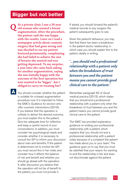#### **Bigger but not better**

**At a private clinic I saw a 30 year old woman who wanted a breast augmentation. After the procedure, the patient said she was happy with the results. Later on I read a newspaper article about cosmetic surgery that had gone wrong and was shocked to see my patient featured prominently, complaining she had failed to achieve the size of breasts she wanted and was getting depressed. To my surprise, a year later she came back asking for another augmentation, saying she was initially happy with the outcome of the first operation but now wanted to be 'bigger'. Am I obliged to carry on treating her? Q**

You should consider whether the patient **A**is suitable for a breast augmentation procedure now. It is important to follow the GMC's *Guidance for doctors who offer cosmetic interventions* (2016). If you believe that the operation is unlikely to deliver the desired outcome, you must explain this to the patient. Give her adequate time for reflection and keep a careful record of your conversations. In addition, you must consider her psychological needs and consider whether it is necessary to consult her GP to inform your discussion about risks and benefits. If the patient is determined not to involve her GP, you must record this in her notes and consider how it affects the balance of risk and benefit and whether you should go ahead with the operation. If, after discussion you believe that the operation will not be of benefit to the patient, you must not provide it.

If asked, you should forward the patient's medical records to any surgeon the patient subsequently goes to see.

Given the patient's behaviour, you may feel that there has been a breakdown in the patient-doctor relationship, in which case you should explain this to the patient, ideally in writing.

*'...you should end a professional relationship with a patient only when the breakdown of trust between you and the patient means you cannot provide good clinical care to the patient.'*

Remember paragraph 62 of *Good medical practice* (2013), which states that you should end a professional relationship with a patient only when the breakdown of trust between you and the patient means you cannot provide good clinical care to the patient.

The GMC has provided explanatory guidance on ending your professional relationship with a patient, which explains that 'you should not end a professional relationship with a patient solely because of a complaint the patient has made about you or your team.' The guidance goes on to say that you must be satisfied that your reason for wanting to end the relationship is fair and does not discriminate against the patient.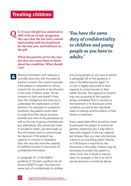**A 15 year-old girl was admitted to A&E with an ectopic pregnancy. Q She says that she has had a sexual relationship with her boyfriend for the last year and had been on the pill.**

> **When her parents arrive she says she does not want them to know about her condition. What should I do?**

Sharing information with relatives is normally done only with the patient's express consent. You need to consider if the patient is competent to refuse consent for her parents to be informed in this case. Children under 16 can consent on their own behalf if they have the intelligence and maturity to understand the implications of their decision. For example, to consent to treatment, the patient would need to understand the nature, purpose, benefits and risks of any procedure, as well as the risk of going untreated and any alternatives. She would also need to be able to retain, use and weigh up this information, and to communicate her decision. If the patient has capacity to consent to treatment, then she may also have the capacity to withhold consent to disclosure of confidential information.

In paragraph 21 of the GMC's guidance *0-18 years: guidance for all doctors* (2007) it says 'You have the same duty of confidentiality to children *'You have the same duty of confidentiality to children and young people as you have to adults.'*

and young people as you have to adults.' In paragraph 53 of the guidance, it says in Scotland anyone aged 12 or over is legally presumed to have capacity to control access to their health records. The capacity to consent may vary according to the question being considered, that is, consent to the treatment or to disclosure of her condition, as well as the individual's state of maturity and the effects of their illness or treatment.

Every reasonable effort should be made to persuade the patient to involve her parents, explaining why it may help to have their support. If she has capacity but refuses, then you may only disclose if there is an overriding public interest, or if disclosure is required by law. Disclosure in the public interest may be necessary to protect the patient or others from risk of death or serious harm, for example, if she is at risk of sexual, physical or emotional abuse.

**A**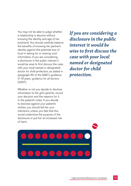You may not be able to judge whether a relationship is abusive without knowing the identity and age of her boyfriend. You should carefully balance the benefits of knowing her partner's identity against the potential loss of trust in asking for or sharing such information. If you are considering a disclosure in the public interest it would be wise to first discuss the case with your local named or designated doctor for child protection, as stated in paragraph 60 of the GMC's guidance *0-18 years: guidance for all doctors* (2007).

Whether or not you decide to disclose information to the girl's parents, record your decision and the reasons for it in the patient's notes. If you decide to disclose against your patient's wishes, you should tell her your intentions, unless you feel that this would undermine the purpose of the disclosure or put her at increased risk of harm.

*If you are considering a disclosure in the public interest it would be wise to first discuss the case with your local named or designated doctor for child protection.*

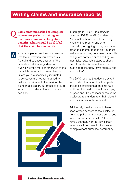#### **Writing claims and insurance reports**

- **I am sometimes asked to complete reports for patients making an insurance claim or seeking state benefits, what should I do if I feel that the claim has no merit? Q**
- When completing such reports, ensure I that the information you provide is a factual and balanced account of the patient's condition, regardless of your own view of the merit or otherwise of the claim. It is important to remember that unless you are specifically instructed to do so, you are not being asked to make a decision as to the merit of the claim or application, but rather to provide information to allow others to make a decision. **A**

In paragraph 71 of *Good medical practice* (2013) the GMC advises that 'You must be honest and trustworthy when writing reports, and when completing or signing forms, reports and other documents.' It goes on 'You must make sure that any documents you write or sign are not false or misleading. You must take reasonable steps to check the information is correct, and you must not deliberately leave out relevant information.'

The GMC requires that doctors asked to provide information to a third party should be satisfied that patients have sufficient information about the scope, purpose and likely consequences of the disclosure and understand that relevant information cannot be withheld.

Additionally the doctor should have seen written consent to the disclosure from the patient or someone authorised to act on his or her behalf. Patients have a statutory right to view certain reports, such as those for insurance or employment purposes, before they

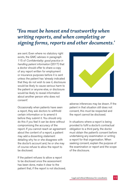### *'You must be honest and trustworthy when writing reports, and when completing or signing forms, reports and other documents.'*

are sent. Even where no statutory right exists, the GMC advises in paragraph 115 of *Confidentiality: good practice in handling patient information* (2017) that a doctor should offer to share a copy of any report written for employment or insurance purposes before it is sent unless the patient has 'already indicated that they do not wish to see it, disclosure would be likely to cause serious harm to the patient or anyone else, or disclosure would be likely to reveal information about another person who does not consent'.

Occasionally when patients have seen a report, they ask doctors to withhold certain information or to amend it before they submit it. You should only do this if you feel it can be done without compromising the accuracy of the report. If you cannot reach an agreement about the content of a report, a patient may add a dissenting statement detailing why he or she disagrees with the doctor's account and, he or she may of course refuse to allow the report to be disclosed.

If the patient refuses to allow a report to be disclosed once the assessment has been done, make it clear to the patient that, if the report is not disclosed,



adverse inferences may be drawn. If the patient in that situation still does not consent, this must be respected and the report cannot be disclosed.

In situations where a report is being provided to fulfil a doctor's contractual obligation to a third party, the doctor must obtain the patient's consent before undertaking any examination or writing a report for that organisation. When seeking consent, explain the purpose of the examination or report and the scope of the disclosure.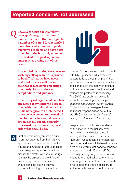#### **Reported concerns not addressed**

**I have a concern about a fellow colleague's surgical outcomes. I have worked with this colleague for a number of years. More recently, I have observed a number of postoperative problems and have been called in to the hospital, when on call, to deal with post-operative emergencies arising out of his cases. Q**

> **I have tried discussing the concerns with my colleague but this proved to be difficult as we have never really got on very well. I also feel that at directorate meetings previously, he was reluctant to accept advice and guidance.**

> **Because my colleague would not take any notice of my concerns, I raised them with the clinical director but he did not appear to be interested. I then spoke in person to the medical director but he has not taken any action either. I am still seriously concerned that patients may be at risk. What should I do?**

First and foremost, you have a duty A First and foremost, you have a duty<br>to protect patients from harm. It was appropriate to voice concerns to the clinical and medical directors because the colleague in question would not discuss the matter with you. Although you may be anxious to avoid further disharmony in your department, you should consider setting out your concerns in writing to the medical



director. Doctors are required to comply with GMC guidance, which requires doctors to take steps promptly if they have concerns about a colleague which could impact on the safety of patients, so that concerns are investigated and patients are protected if necessary. The GMC has published advice for all doctors in *Raising and acting on concerns about patient safety* (2012). Doctors who are managers have additional responsibilities set out in the GMC guidance *Leadership and management for all doctors* (2012).

Keep a record of all correspondence on this matter. In the unlikely event that the medical director refused to investigate the concerns; or that a thorough investigation did not address the matter and you still believed patients were at risk, you might need to consider approaching the GMC yourself. But hopefully setting out your concerns in writing to the medical director should be enough for the matter to be properly investigated and, if it is necessary, for action to be taken to protect patients.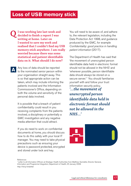**I was working late last week and decided to finish a report I was writing at home. Later on I wanted to save my work and realised that I couldn't find my USB memory stick anywhere. I am really worried because there was some statistical and patient identifiable data on it. What should I do now? Q**

> Any loss of data should be reported to the nominated senior person within your organisation straight away. This is so that appropriate action can be taken, which may include informing the patients involved and the Information Commissioner's Office, depending on both the volume and sensitivity of the personal data involved.

It is possible that a breach of patient confidentiality could result in you receiving complaints from the patients involved, a disciplinary or potentially a GMC investigation and any negative media attention that could attract.

If you do need to work on confidential documents at home, you should discuss how to do this safely with your local IT manager. You may need to take physical precautions such as ensuring your device is password protected, encrypted and stored under lock and key.

You will need to be aware of, and adhere to, the relevant legislation, including the Data Protection Act 1998, and guidance produced by the GMC, for example *Confidentiality: good practice in handling patient information* (2017).

The Department of Health has said that 'the movement of unencrypted person identifiable data held in electronic format should not be allowed in the NHS' and 'wherever possible, person identifiable data should always be stored on a secure server.<sup>'1</sup> You should familiarise yourself with and follow your trust information security policy.

*'...the movement of unencrypted person identifiable data held in electronic format should not be allowed in the NHS...'*



References

**A**

1 Letter to all Information Officers at Strategic Health Authorities from Matthew Swindells, Director General, Information and Programme Integration, Department of Health, 20 January 2008. http://bit.ly/shaletter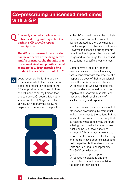### **Co-prescribing unlicensed medicines with a GP**

**I recently started a patient on an unlicensed drug and requested the patient's GP provide repeat prescriptions. Q**

> **The GP was concerned because she had never heard of the drug before and furthermore, she thought that it was unethical and possibly illegal to prescribe a drug outside of its product licence. What should I do?**

Legal responsibility for the decision to prescribe falls to the clinician who signs the prescription so before the GP can provide repeat prescriptions she will need to satisfy herself that she can do so. Of course, it is not for you to give the GP legal and ethical advice, but hopefully the following helps you to understand the position. **A**



In the UK, no medicine can be marketed for human use without a product licence granted by the Medicines and Healthcare products Regulatory Agency. However, the licensing arrangements permit doctors to prescribe unlicensed drugs, and to use drugs for unlicensed indications in specific circumstances.

Doctors have a legal duty to take reasonable care and to act in a way that is consistent with the practice of a responsible body of their professional peers. If a decision to prescribe an unlicensed drug was ever tested, the clinician's decision would have to be capable of support from an informed, reasonable body of clinicians of similar training and experience.

Informed consent is a crucial aspect of off-licence prescribing. Doctors must make it very clear to the patient that the medication is unlicensed, and why that is. Patients must be told why the drug is being prescribed, what alternatives exist, and have all their questions answered fully. You must make a clear record that the indications for the drug and the risks have been explained and that the patient both understands the risks and is willing to accept them. The GMC provides specific guidance on the prescription of unlicensed medications and the prescription of medications outside the terms of their licence.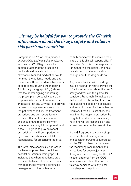#### *...it may be helpful for you to provide the GP with information about the drug's safety and value in this particular condition.*

Paragraphs 67-74 of *Good practice in prescribing and managing medicines and devices* (2013) guidance for doctors states that the prescribing doctor should be satisfied that an alternative, licensed medication would not meet the patient's needs and that there is a sufficient evidence base and/ or experience of using the medicine. Additionally paragraph 70 (b) states that the doctor signing and issuing the prescription personally bears the responsibility for that treatment. It is imperative that any GP who is to provide ongoing management understands the patient's condition, the treatment prescribed and can recognise any adverse effects of the medication and should take responsibility for monitoring and any follow up treatment. If the GP agrees to provide repeat prescriptions, it will be important to agree with her when she will take over responsibility for prescribing the drug.

The GMC also specifically addresses the issue of prescribing medicines to hospital outpatients. Paragraph 41 indicates that where a patient's care is shared between clinicians, doctors with responsibility for the continuing management of the patient must

be fully competent to exercise their share of this clinical responsibility. If the patient's GP is to be responsible for monitoring the patient, she must be satisfied that she understands enough about the drug to do so.

As you are familiar with the drug, it may be helpful for you to provide the GP with information about the drug's safety and value in this particular condition. Paragraph 40 makes clear that you should be willing to answer the questions posed by a colleague and assist in caring for the patient as required. If the GP is satisfied, she may then be happy to prescribe the drug, but the decision is ultimately hers. She will be responsible if she agrees to continue the prescription.

If the GP agrees, you could set up a formal shared care agreement and consider drawing up a protocol for the GP to follow, making clear the monitoring requirements and indications for dose adjustments. It may also be necessary for the GP to seek approval from the CCG to ensure prescribing the drug in this way complies with any local guidelines on prescribing.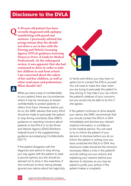#### **Disclosure to the DVLA**

**A 30 year-old patient has been recently diagnosed with epilepsy manifesting with grand mal seizures. I previously advised the young woman that she should not drive a car in line with the Driving and Vehicle Licensing Agency (DVLA) guidance** *Assessing Fitness to Drive: A Guide for Medical Professionals***. At the subsequent review, it was apparent that she had continued to drive in order to take her children to and from school. I am concerned about the safety of her and her children, as well as other road users and pedestrians. What should I do? Q**



**A**

While you have a duty of confidentiality to your patient, there are circumstances where it may be necessary to breach confidentiality to protect patients or others from harm. However, before you do so, the GMC advises that every effort should be made to persuade the patient to stop driving voluntarily. (See GMC's guidance on reporting concerns about patients to the DVLA or to the Driver and Vehicle Agency (DVA) (Northern Ireland) found in the supplementary guidance accompanying *Confidentiality* (2017).

If the patient disagrees with the diagnosis and advice to stop driving you may agree with the patient to seek a second opinion, but she should be advised not to drive in the meantime. If she continues to drive, having already ignored your advice about her legal duty to family and others, you may have no option but to contact the DVLA yourself. You will need to make this clear when you are trying to persuade the patient to stop driving. It may help if you can inform the patient's relatives of your concerns but you would only be able to do this if she agrees.

If the patient continues to drive despite your advice, the GMC recommends that you should contact the DVLA or DVA immediately and disclose any relevant medical information, in confidence to the medical advisor. You will need to try to inform the patient of your decision to disclose before you do so. Inform the patient in writing once you have contacted the DVLA or DVA. Any disclosure made should be the minimum necessary. Make a note in the patient's records setting out your actions and explaining your reasons behind your decision to disclose, as you may be asked to justify your actions if the patient makes a complaint.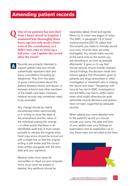**One of my patients has just died from a heart attack in hospital. I examined him thoroughly three hours ago but only made a brief note of the consultation, as I didn't have time to write up a full note - can I update the record after the event? Q**

**A**

Records are primarily intended to support patient care and should authentically represent each and every consultation (including by telephone). They form the basis of good communication about the patient, between doctor and doctor, or between a doctor and other members of the health care team. However, medical records may sometimes need to be amended.

Any change should be clearly documented either electronically or in writing to show the date of the amendment and the name of the individual making the change – in other words that there is an identifiable audit trail. It must remain possible to retrieve the original entry. Hard copy errors should be scored out with a single line so that the original writing is still visible and the correct entry written alongside with the time, date and your signature.

Medical notes must never be overwritten or inked out and computer forms must never be erased or deleted. Any additions should be

separately dated, timed and signed. Never try to insert new pages of notes. The GMC, in paragraph 19 of *Good medical practice* (2013), states that 'Documents you make to formally record your work must be clear, accurate and legible. You should make records at the same time as the events you are recording or as soon as possible afterwards.' It goes on to say that clinical records should include 'relevant clinical findings, the decision made and actions agreed, the information given to patients, any drugs prescribed or other investigation or treatment, who is making the record and when.' 'Tampering' with records has led to GMC investigations and the MDU has had to settle claims when what might otherwise be quite defensible clinical decisions and actions have not been supported by adequate records.

When adding your more detailed note to the patient's record you should include your name, the date and time of your added note, your findings on examination and an explanation as to why these were not recorded at the time.

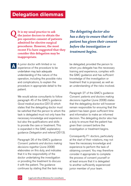**It is my usual practice to ask the junior doctors to obtain the pre-operative consent of patients admitted for elective surgical procedures. However, the most recent F1s have suggested that they consider this delegation may be inappropriate. Q**

*The delegating doctor also has a duty to ensure that the patient has given their consent before the investigation or treatment begins.*

A junior doctor with limited or no experience of the procedure to be undertaken may lack adequate understanding of the nature of the operation, including the possible risks and complications, to explain the procedure in appropriate detail to the patient.

**A**

We would advise consultants to follow paragraph 45 of the GMC's guidance *Good medical practice* (2013) which states that the delegating doctor must be satisfied that the person to whom the task is delegated must not only have the necessary knowledge and experience but also the qualifications and skills to provide the care or treatment. This is expanded in the GMC explanatory guidance *Delegation and referral* (2013).

Paragraph 26 of the GMC's guidance *Consent: patients and doctors making decisions together* (June 2008) elaborates on this duty, and indicates that it is the responsibility of the doctor undertaking the investigation or providing the treatment to discuss it with the patient. The guidance continues by stating that the task may be delegated, provided the person to whom you delegate has the necessary training and experience, complies with the GMC guidance and has sufficient knowledge of the investigation or treatment that is proposed, as well as an understanding of the risks involved.

Paragraph 27 of the GMC's guidance *Consent: patients and doctors making decisions togethe*r (June 2008) states that the delegating doctor will however remain responsible for ensuring that the patient has been given sufficient time and information to make an informed decision. The delegating doctor also has a duty to ensure that the patient has given their consent before the investigation or treatment begins.

Consequently F1 doctors, particularly at the start of their rotations, may not have the necessary knowledge and experience to perform the task of obtaining consent. You may therefore consider it appropriate to complete the process of consent yourself or at least ensure that it is delegated to another sufficiently experienced junior member of your team.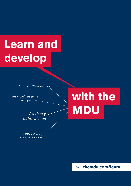# **Learn and develop**

*Online CPD resources*

*Free seminars for you and your team*

# **with the MDU**

*Advisory publications*

*MDU webinars, videos and podcasts*

*Visit* **themdu.com/learn**